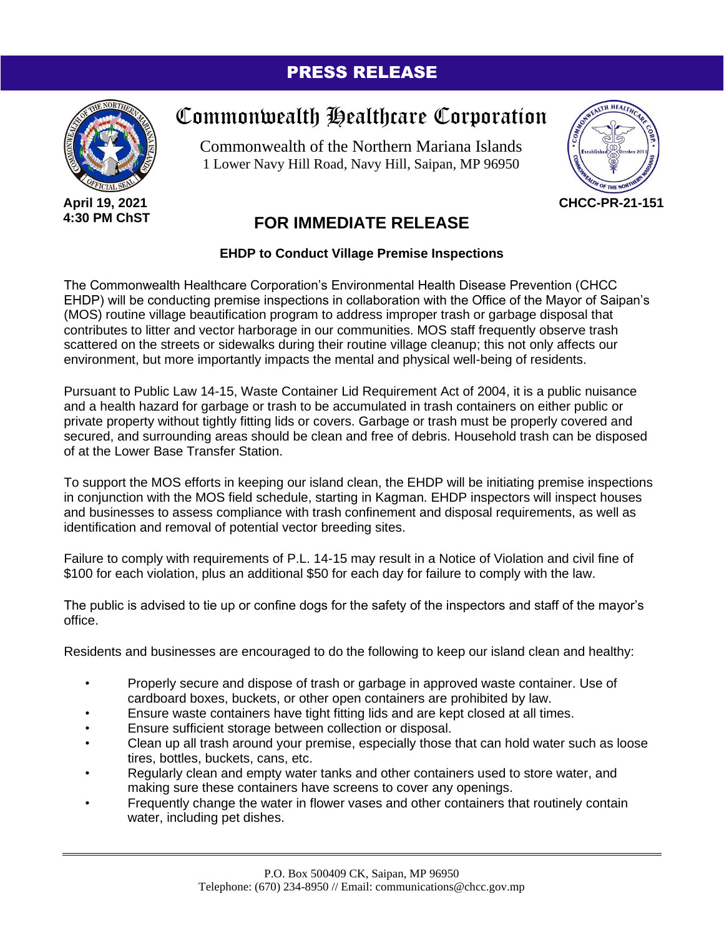## PRESS RELEASE



## Commonwealth Healthcare Corporation

Commonwealth of the Northern Mariana Islands 1 Lower Navy Hill Road, Navy Hill, Saipan, MP 96950



## **FOR IMMEDIATE RELEASE**

## **EHDP to Conduct Village Premise Inspections**

The Commonwealth Healthcare Corporation's Environmental Health Disease Prevention (CHCC EHDP) will be conducting premise inspections in collaboration with the Office of the Mayor of Saipan's (MOS) routine village beautification program to address improper trash or garbage disposal that contributes to litter and vector harborage in our communities. MOS staff frequently observe trash scattered on the streets or sidewalks during their routine village cleanup; this not only affects our environment, but more importantly impacts the mental and physical well-being of residents.

Pursuant to Public Law 14-15, Waste Container Lid Requirement Act of 2004, it is a public nuisance and a health hazard for garbage or trash to be accumulated in trash containers on either public or private property without tightly fitting lids or covers. Garbage or trash must be properly covered and secured, and surrounding areas should be clean and free of debris. Household trash can be disposed of at the Lower Base Transfer Station.

To support the MOS efforts in keeping our island clean, the EHDP will be initiating premise inspections in conjunction with the MOS field schedule, starting in Kagman. EHDP inspectors will inspect houses and businesses to assess compliance with trash confinement and disposal requirements, as well as identification and removal of potential vector breeding sites.

Failure to comply with requirements of P.L. 14-15 may result in a Notice of Violation and civil fine of \$100 for each violation, plus an additional \$50 for each day for failure to comply with the law.

The public is advised to tie up or confine dogs for the safety of the inspectors and staff of the mayor's office.

Residents and businesses are encouraged to do the following to keep our island clean and healthy:

- Properly secure and dispose of trash or garbage in approved waste container. Use of cardboard boxes, buckets, or other open containers are prohibited by law.
- Ensure waste containers have tight fitting lids and are kept closed at all times.
- Ensure sufficient storage between collection or disposal.
- Clean up all trash around your premise, especially those that can hold water such as loose tires, bottles, buckets, cans, etc.
- Regularly clean and empty water tanks and other containers used to store water, and making sure these containers have screens to cover any openings.
- Frequently change the water in flower vases and other containers that routinely contain water, including pet dishes.